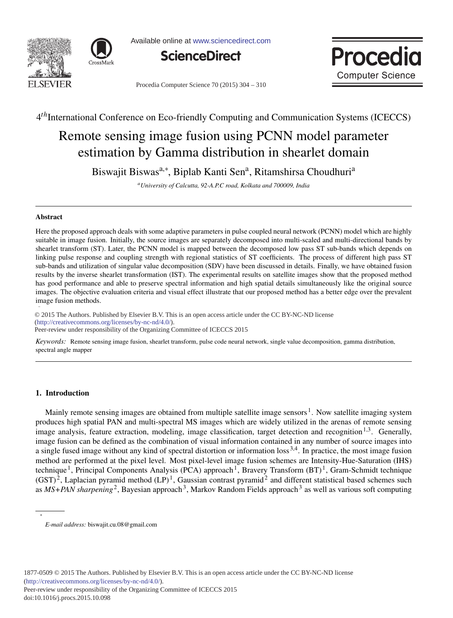



Available online at www.sciencedirect.com





Procedia Computer Science 70 (2015) 304 - 310

# 4*th*International Conference on Eco-friendly Computing and Communication Systems (ICECCS)

# Remote sensing image fusion using PCNN model parameter estimation by Gamma distribution in shearlet domain

Biswajit Biswas<sup>a,∗</sup>, Biplab Kanti Sen<sup>a</sup>, Ritamshirsa Choudhuri<sup>a</sup>

*aUniversity of Calcutta, 92-A.P.C road, Kolkata and 700009, India*

# Abstract

Here the proposed approach deals with some adaptive parameters in pulse coupled neural network (PCNN) model which are highly suitable in image fusion. Initially, the source images are separately decomposed into multi-scaled and multi-directional bands by shearlet transform (ST). Later, the PCNN model is mapped between the decomposed low pass ST sub-bands which depends on linking pulse response and coupling strength with regional statistics of ST coefficients. The process of different high pass ST sub-bands and utilization of singular value decomposition (SDV) have been discussed in details. Finally, we have obtained fusion results by the inverse shearlet transformation (IST). The experimental results on satellite images show that the proposed method has good performance and able to preserve spectral information and high spatial details simultaneously like the original source images. The objective evaluation criteria and visual effect illustrate that our proposed method has a better edge over the prevalent image fusion methods.

-c 2015 The Authors. Published by Elsevier B.V. © 2015 The Authors. Published by Elsevier B.V. This is an open access article under the CC BY-NC-ND license<br>(http://groativecommons.org/licenses/by, no. pd/4.0) municative Systems (ICECCS 2015).<br>Peer-review under responsibility of the Organizing Committee of ICECCS 2015 (http://creativecommons.org/licenses/by-nc-nd/4.0/).

*Keywords:* Remote sensing image fusion, shearlet transform, pulse code neural network, single value decomposition, gamma distribution, spectral angle mapper

# 1. Introduction

∗

Mainly remote sensing images are obtained from multiple satellite image sensors<sup>1</sup>. Now satellite imaging system produces high spatial PAN and multi-spectral MS images which are widely utilized in the arenas of remote sensing image analysis, feature extraction, modeling, image classification, target detection and recognition<sup>1,3</sup>. Generally, image fusion can be defined as the combination of visual information contained in any number of source images into a single fused image without any kind of spectral distortion or information  $loss^{3,4}$ . In practice, the most image fusion method are performed at the pixel level. Most pixel-level image fusion schemes are Intensity-Hue-Saturation (IHS) technique <sup>1</sup>, Principal Components Analysis (PCA) approach<sup>1</sup>, Bravery Transform  $(BT)^1$ , Gram-Schmidt technique  $(GST)^2$ , Laplacian pyramid method  $(LP)^1$ , Gaussian contrast pyramid<sup>2</sup> and different statistical based schemes such as *MS+PAN sharpening*<sup>2</sup>, Bayesian approach<sup>3</sup>, Markov Random Fields approach<sup>3</sup> as well as various soft computing

*E-mail address:* biswajit.cu.08@gmail.com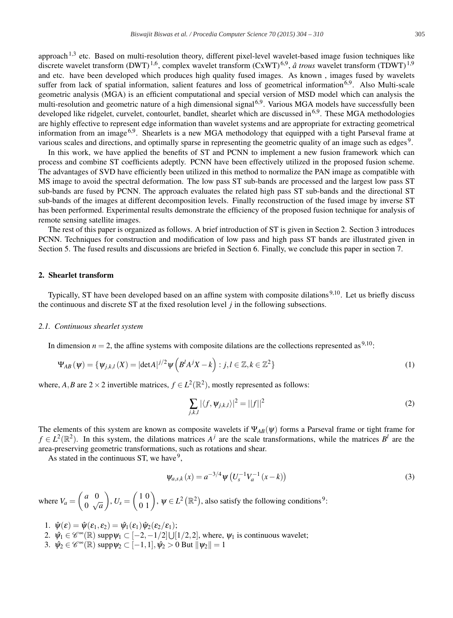approach<sup>1,3</sup> etc. Based on multi-resolution theory, different pixel-level wavelet-based image fusion techniques like discrete wavelet transform (DWT)<sup>1,6</sup>, complex wavelet transform (CxWT)<sup>6,9</sup>, *â trous* wavelet transform (TDWT)<sup>1,9</sup> and etc. have been developed which produces high quality fused images. As known , images fused by wavelets suffer from lack of spatial information, salient features and loss of geometrical information<sup>6,9</sup>. Also Multi-scale geometric analysis (MGA) is an efficient computational and special version of MSD model which can analysis the multi-resolution and geometric nature of a high dimensional signal<sup>6,9</sup>. Various MGA models have successfully been developed like ridgelet, curvelet, contourlet, bandlet, shearlet which are discussed in<sup>6,9</sup>. These MGA methodologies are highly effective to represent edge information than wavelet systems and are appropriate for extracting geometrical information from an image  $6.9$ . Shearlets is a new MGA methodology that equipped with a tight Parseval frame at various scales and directions, and optimally sparse in representing the geometric quality of an image such as edges 9.

In this work, we have applied the benefits of ST and PCNN to implement a new fusion framework which can process and combine ST coefficients adeptly. PCNN have been effectively utilized in the proposed fusion scheme. The advantages of SVD have efficiently been utilized in this method to normalize the PAN image as compatible with MS image to avoid the spectral deformation. The low pass ST sub-bands are processed and the largest low pass ST sub-bands are fused by PCNN. The approach evaluates the related high pass ST sub-bands and the directional ST sub-bands of the images at different decomposition levels. Finally reconstruction of the fused image by inverse ST has been performed. Experimental results demonstrate the efficiency of the proposed fusion technique for analysis of remote sensing satellite images.

The rest of this paper is organized as follows. A brief introduction of ST is given in Section 2. Section 3 introduces PCNN. Techniques for construction and modification of low pass and high pass ST bands are illustrated given in Section 5. The fused results and discussions are briefed in Section 6. Finally, we conclude this paper in section 7.

# 2. Shearlet transform

Typically, ST have been developed based on an affine system with composite dilations<sup>9,10</sup>. Let us briefly discuss the continuous and discrete ST at the fixed resolution level *j* in the following subsections.

#### *2.1. Continuous shearlet system*

In dimension  $n = 2$ , the affine systems with composite dilations are the collections represented as <sup>9,10</sup>:

$$
\Psi_{AB}(\psi) = \{ \psi_{j,k,l}(X) = |\text{det}A|^{j/2} \psi\left(B^l A^j X - k\right) : j, l \in \mathbb{Z}, k \in \mathbb{Z}^2 \}
$$
\n<sup>(1)</sup>

where, *A*,*B* are  $2 \times 2$  invertible matrices,  $f \in L^2(\mathbb{R}^2)$ , mostly represented as follows:

$$
\sum_{j,k,l} |\langle f, \psi_{j,k,l} \rangle|^2 = ||f||^2 \tag{2}
$$

The elements of this system are known as composite wavelets if  $\Psi_{AB}(\psi)$  forms a Parseval frame or tight frame for  $f \in L^2(\mathbb{R}^2)$ . In this system, the dilations matrices  $A^j$  are the scale transformations, while the matrices  $B^l$  are the area-preserving geometric transformations, such as rotations and shear.

As stated in the continuous ST, we have  $9'$ ,

$$
\psi_{a,s,k}(x) = a^{-3/4} \psi \left( U_s^{-1} V_a^{-1} (x - k) \right) \tag{3}
$$

where  $V_a = \begin{pmatrix} a & 0 \\ 0 & 0 \end{pmatrix}$ 0 √*a*  $\left( \begin{array}{c} 1 & 0 \\ 0 & 1 \end{array} \right)$ ,  $\psi \in L^2 \left( \mathbb{R}^2 \right)$ , also satisfy the following conditions<sup>9</sup>:

- 1.  $\hat{\psi}(\varepsilon) = \hat{\psi}(\varepsilon_1, \varepsilon_2) = \hat{\psi}_1(\varepsilon_1) \hat{\psi}_2(\varepsilon_2/\varepsilon_1);$
- 2.  $\hat{\psi}_1 \in \mathscr{C}^{\infty}(\mathbb{R})$  supp $\psi_1 \subset [-2, -1/2] \cup [1/2, 2]$ , where,  $\psi_1$  is continuous wavelet;
- 3.  $\hat{\psi}_2 \in \mathscr{C}^{\infty}(\mathbb{R})$  supp $\psi_2 \subset [-1,1], \hat{\psi}_2 > 0$  But  $\|\psi_2\| = 1$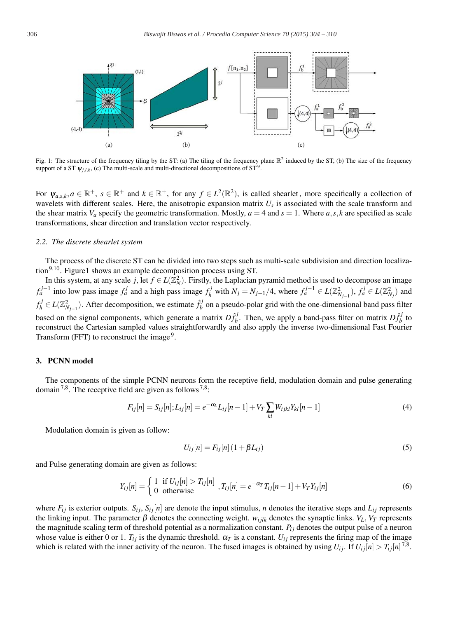

Fig. 1: The structure of the frequency tiling by the ST: (a) The tiling of the frequency plane  $\mathbb{R}^2$  induced by the ST, (b) The size of the frequency support of a ST  $\psi_{i,l,k}$ , (c) The multi-scale and multi-directional decompositions of ST<sup>9</sup>.

For  $\psi_{a,s,k}, a \in \mathbb{R}^+$ ,  $s \in \mathbb{R}^+$  and  $k \in \mathbb{R}^+$ , for any  $f \in L^2(\mathbb{R}^2)$ , is called shearlet, more specifically a collection of wavelets with different scales. Here, the anisotropic expansion matrix  $U_s$  is associated with the scale transform and the shear matrix  $V_a$  specify the geometric transformation. Mostly,  $a = 4$  and  $s = 1$ . Where  $a, s, k$  are specified as scale transformations, shear direction and translation vector respectively.

#### *2.2. The discrete shearlet system*

The process of the discrete ST can be divided into two steps such as multi-scale subdivision and direction localization<sup>9,10</sup>. Figure1 shows an example decomposition process using ST.

In this system, at any scale *j*, let  $f \in L(\mathbb{Z}_N^2)$ . Firstly, the Laplacian pyramid method is used to decompose an image  $f_a^{j-1}$  into low pass image  $f_a^j$  and a high pass image  $f_h^j$  with  $N_j = N_{j-1}/4$ , where  $f_a^{j-1} \in L(\mathbb{Z}_{N_{j-1}}^2)$ ,  $f_a^j \in L(\mathbb{Z}_{N_j}^2)$  and  $f_h^j \in L(\mathbb{Z}_{N_{j-1}}^2)$ . After decomposition, we estimate  $\hat{f}_b^j$  on a pseudo-polar grid with the one-dimensional band pass filter based on the signal components, which generate a matrix  $D_{fb}^{fj}$ . Then, we apply a band-pass filter on matrix  $D_{fb}^{fj}$  to reconstruct the Cartesian sampled values straightforwardly and also apply the inverse two-dimensional Fast Fourier Transform (FFT) to reconstruct the image<sup>9</sup>.

#### 3. PCNN model

The components of the simple PCNN neurons form the receptive field, modulation domain and pulse generating domain<sup>7,8</sup>. The receptive field are given as follows<sup>7,8</sup>:

$$
F_{ij}[n] = S_{ij}[n]; L_{ij}[n] = e^{-\alpha_L} L_{ij}[n-1] + V_T \sum_{kl} W_{ijkl} Y_{kl}[n-1]
$$
\n(4)

Modulation domain is given as follow:

$$
U_{ij}[n] = F_{ij}[n](1 + \beta L_{ij})
$$
\n(5)

and Pulse generating domain are given as follows:

$$
Y_{ij}[n] = \begin{cases} 1 & \text{if } U_{ij}[n] > T_{ij}[n] \\ 0 & \text{otherwise} \end{cases}, T_{ij}[n] = e^{-\alpha_T} T_{ij}[n-1] + V_T Y_{ij}[n] \tag{6}
$$

where  $F_{ij}$  is exterior outputs.  $S_{ij}$ ,  $S_{ij}[n]$  are denote the input stimulus, *n* denotes the iterative steps and  $L_{ij}$  represents the linking input. The parameter  $\beta$  denotes the connecting weight.  $w_{i l l k}$  denotes the synaptic links.  $V_L$ ,  $V_T$  represents the magnitude scaling term of threshold potential as a normalization constant.  $P_{ij}$  denotes the output pulse of a neuron whose value is either 0 or 1.  $T_{ij}$  is the dynamic threshold.  $\alpha_T$  is a constant.  $U_{ij}$  represents the firing map of the image which is related with the inner activity of the neuron. The fused images is obtained by using  $U_{ij}$ . If  $U_{ij}[n] > T_{ij}[n]^{7,8}$ .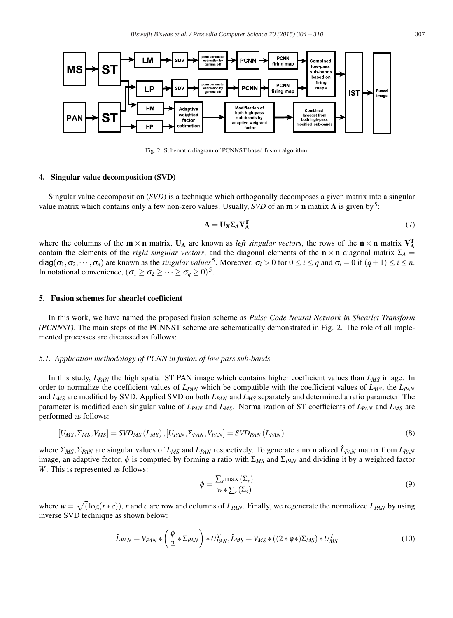

Fig. 2: Schematic diagram of PCNNST-based fusion algorithm.

#### 4. Singular value decomposition (SVD)

Singular value decomposition (*SVD*) is a technique which orthogonally decomposes a given matrix into a singular value matrix which contains only a few non-zero values. Usually, *SVD* of an  $m \times n$  matrix **A** is given by<sup>5</sup>:

$$
\mathbf{A} = \mathbf{U}_{\mathbf{X}} \Sigma_A \mathbf{V}_{\mathbf{A}}^{\mathbf{T}} \tag{7}
$$

where the columns of the  $m \times n$  matrix,  $U_A$  are known as *left singular vectors*, the rows of the  $n \times n$  matrix  $V_A^T$ contain the elements of the *right singular vectors*, and the diagonal elements of the  $\mathbf{n} \times \mathbf{n}$  diagonal matrix  $\Sigma_A$  $\deg(\sigma_1, \sigma_2, \dots, \sigma_n)$  are known as the *singular values*<sup>5</sup>. Moreover,  $\sigma_i > 0$  for  $0 \le i \le q$  and  $\sigma_i = 0$  if  $(q+1) \le i \le n$ . In notational convenience,  $(\sigma_1 \geq \sigma_2 \geq \cdots \geq \sigma_a \geq 0)^5$ .

#### 5. Fusion schemes for shearlet coefficient

In this work, we have named the proposed fusion scheme as *Pulse Code Neural Network in Shearlet Transform (PCNNST)*. The main steps of the PCNNST scheme are schematically demonstrated in Fig. 2. The role of all implemented processes are discussed as follows:

## *5.1. Application methodology of PCNN in fusion of low pass sub-bands*

In this study, *L<sub>PAN</sub>* the high spatial ST PAN image which contains higher coefficient values than *L<sub>MS</sub>* image. In order to normalize the coefficient values of  $L_{PAN}$  which be compatible with the coefficient values of  $L_{MS}$ , the  $L_{PAN}$ and *LMS* are modified by SVD. Applied SVD on both *LPAN* and *LMS* separately and determined a ratio parameter. The parameter is modified each singular value of *LPAN* and *LMS*. Normalization of ST coefficients of *LPAN* and *LMS* are performed as follows:

$$
[U_{MS}, \Sigma_{MS}, V_{MS}] = SVD_{MS}(L_{MS}), [U_{PAN}, \Sigma_{PAN}, V_{PAN}] = SVD_{PAN}(L_{PAN})
$$
\n(8)

where Σ*MS*,Σ*PAN* are singular values of *LMS* and *LPAN* respectively. To generate a normalized *L*ˆ*PAN* matrix from *LPAN* image, an adaptive factor,  $\phi$  is computed by forming a ratio with  $\Sigma_{MS}$  and  $\Sigma_{PAN}$  and dividing it by a weighted factor *W*. This is represented as follows:

$$
\phi = \frac{\sum_{s} \max\left(\Sigma_{s}\right)}{w * \sum_{s}\left(\Sigma_{s}\right)}\tag{9}
$$

where  $w = \sqrt{(\log(r * c))}$ , *r* and *c* are row and columns of  $L_{PAN}$ . Finally, we regenerate the normalized  $L_{PAN}$  by using inverse SVD technique as shown below:

$$
\hat{L}_{PAN} = V_{PAN} * \left(\frac{\phi}{2} * \Sigma_{PAN}\right) * U_{PAN}^T, \hat{L}_{MS} = V_{MS} * \left((2 * \phi * )\Sigma_{MS}\right) * U_{MS}^T
$$
\n(10)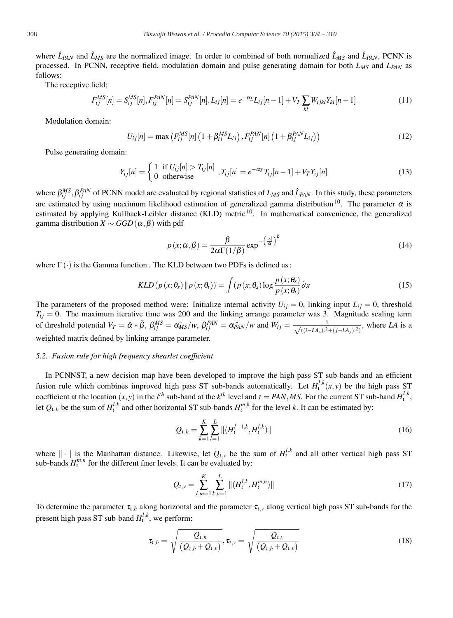where  $\hat{L}_{PAN}$  and  $\hat{L}_{MS}$  are the normalized image. In order to combined of both normalized  $\hat{L}_{MS}$  and  $\hat{L}_{PAN}$ , PCNN is processed. In PCNN, receptive field, modulation domain and pulse generating domain for both *L<sub>MS</sub>* and *L<sub>PAN</sub>* as follows:

The receptive field:

$$
F_{ij}^{MS}[n] = S_{ij}^{MS}[n], F_{ij}^{PAN}[n] = S_{ij}^{PAN}[n], L_{ij}[n] = e^{-\alpha_L} L_{ij}[n-1] + V_T \sum_{kl} W_{ijkl} Y_{kl}[n-1]
$$
\n(11)

Modulation domain:

$$
U_{ij}[n] = \max\left(F_{ij}^{MS}[n]\left(1 + \beta_{ij}^{MS}L_{ij}\right), F_{ij}^{PAN}[n]\left(1 + \beta_{ij}^{PAN}L_{ij}\right)\right)
$$
(12)

Pulse generating domain:

$$
Y_{ij}[n] = \begin{cases} 1 & \text{if } U_{ij}[n] > T_{ij}[n] \\ 0 & \text{otherwise} \end{cases}, T_{ij}[n] = e^{-\alpha_T} T_{ij}[n-1] + V_T Y_{ij}[n] \tag{13}
$$

where  $\beta_{ij}^{MS}$ ,  $\beta_{ij}^{PAN}$  of PCNN model are evaluated by regional statistics of  $L_{MS}$  and  $\hat{L}_{PAN}$ . In this study, these parameters are estimated by using maximum likelihood estimation of generalized gamma distribution<sup>10</sup>. The parameter  $\alpha$  is estimated by applying Kullback-Leibler distance (KLD) metric <sup>10</sup>. In mathematical convenience, the generalized gamma distribution  $X \sim GGD(\alpha, \beta)$  with pdf

$$
p(x; \alpha, \beta) = \frac{\beta}{2\alpha \Gamma(1/\beta)} \exp^{-\left(\frac{|x|}{\alpha}\right)^{\beta}}
$$
(14)

where  $\Gamma(\cdot)$  is the Gamma function. The KLD between two PDFs is defined as:

$$
KLD(p(x; \theta_s) \| p(x; \theta_t)) = \int (p(x; \theta_s) \log \frac{p(x; \theta_s)}{p(x; \theta_t)} \partial x \tag{15}
$$

The parameters of the proposed method were: Initialize internal activity  $U_{ij} = 0$ , linking input  $L_{ij} = 0$ , threshold  $T_{ij} = 0$ . The maximum iterative time was 200 and the linking arrange parameter was 3. Magnitude scaling term of threshold potential  $V_T = \hat{\alpha} * \hat{\beta}$ ,  $\beta_{ij}^{MS} = \alpha_{MS}^c/w$ ,  $\beta_{ij}^{PAN} = \alpha_{PAN}^c/w$  and  $W_{ij} = \frac{1}{\sqrt{((i - LA_x)^2)}}$  $\sqrt{\frac{1}{((i-LA_x).^2+(j-LA_y).^2)}}$ , where *LA* is a weighted matrix defined by linking arrange parameter.

#### *5.2. Fusion rule for high frequency shearlet coefficient*

In PCNNST, a new decision map have been developed to improve the high pass ST sub-bands and an efficient fusion rule which combines improved high pass ST sub-bands automatically. Let  $H_l^{l,k}(x, y)$  be the high pass ST coefficient at the location  $(x, y)$  in the *l*<sup>th</sup> sub-band at the *k*<sup>th</sup> level and  $t = PAN, MS$ . For the current ST sub-band  $H_1^{l,k}$ , let  $Q_{t,h}$  be the sum of  $H_t^{l,k}$  and other horizontal ST sub-bands  $H_t^{m,k}$  for the level *k*. It can be estimated by:

$$
Q_{t,h} = \sum_{k=1}^{K} \sum_{l=1}^{L} \|(H_t^{l-1,k}, H_t^{l,k})\|
$$
\n(16)

where  $\|\cdot\|$  is the Manhattan distance. Likewise, let  $Q_{l,\nu}$  be the sum of  $H_l^{l,k}$  and all other vertical high pass ST sub-bands  $H_1^{m,n}$  for the different finer levels. It can be evaluated by:

$$
Q_{t,v} = \sum_{l,m=1}^{K} \sum_{k,n=1}^{L} ||(H_t^{l,k}, H_t^{m,n})||
$$
\n(17)

To determine the parameter  $\tau_{t,h}$  along horizontal and the parameter  $\tau_{t,v}$  along vertical high pass ST sub-bands for the present high pass ST sub-band  $H_l^{l,k}$ , we perform:

$$
\tau_{t,h} = \sqrt{\frac{Q_{t,h}}{(Q_{t,h} + Q_{t,v})}}, \tau_{t,v} = \sqrt{\frac{Q_{t,v}}{(Q_{t,h} + Q_{t,v})}}
$$
(18)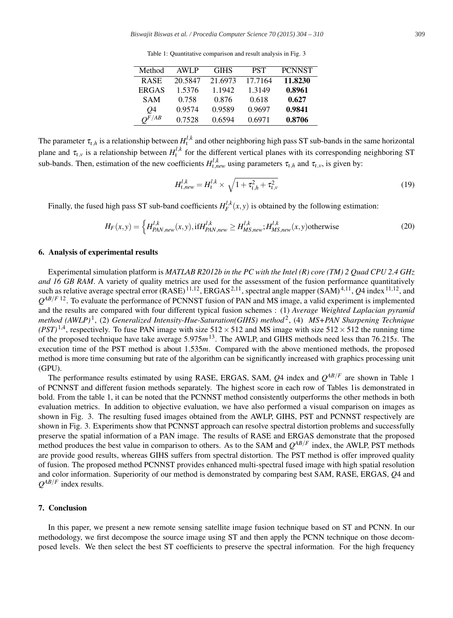Table 1: Quantitative comparison and result analysis in Fig. 3

| Method       | <b>AWLP</b> | <b>GIHS</b> | <b>PST</b> | <b>PCNNST</b> |
|--------------|-------------|-------------|------------|---------------|
| <b>RASE</b>  | 20.5847     | 21.6973     | 17.7164    | 11.8230       |
| <b>ERGAS</b> | 1.5376      | 1.1942      | 1.3149     | 0.8961        |
| <b>SAM</b>   | 0.758       | 0.876       | 0.618      | 0.627         |
| 04           | 0.9574      | 0.9589      | 0.9697     | 0.9841        |
| $O^{F/AB}$   | 0.7528      | 0.6594      | 0.6971     | 0.8706        |
|              |             |             |            |               |

The parameter  $\tau_{t,h}$  is a relationship between  $H_t^{l,k}$  and other neighboring high pass ST sub-bands in the same horizontal plane and  $\tau_{t,y}$  is a relationship between  $H_t^{l,k}$  for the different vertical planes with its corresponding neighboring ST sub-bands. Then, estimation of the new coefficients  $H_{t,new}^{l,k}$  using parameters  $\tau_{t,h}$  and  $\tau_{t,v}$ , is given by:

$$
H_{t,new}^{l,k} = H_t^{l,k} \times \sqrt{1 + \tau_{t,h}^2 + \tau_{t,v}^2}
$$
\n(19)

Finally, the fused high pass ST sub-band coefficients  $H_F^{l,k}(x, y)$  is obtained by the following estimation:

$$
H_F(x, y) = \left\{ H_{PAN, new}^{l,k}(x, y), \text{if } H_{PAN, new}^{l,k} \ge H_{MS, new}^{l,k}; H_{MS, new}^{l,k}(x, y) \text{otherwise} \right\}
$$
(20)

# 6. Analysis of experimental results

Experimental simulation platform is *MATLAB R2012b in the PC with the Intel (R) core (TM) 2 Quad CPU 2.4 GHz and 16 GB RAM*. A variety of quality metrics are used for the assessment of the fusion performance quantitatively such as relative average spectral error (RASE)<sup>11,12</sup>, ERGAS<sup>2,11</sup>, spectral angle mapper (SAM)<sup>4,11</sup>, *Q*4 index<sup>11,12</sup>, and  $Q^{AB/F}$  12. To evaluate the performance of PCNNST fusion of PAN and MS image, a valid experiment is implemented and the results are compared with four different typical fusion schemes : (1) *Average Weighted Laplacian pyramid method (AWLP)* 1, (2) *Generalized Intensity-Hue-Saturation(GIHS) method* 2, (4) *MS+PAN Sharpening Technique (PST)*<sup>1,4</sup>, respectively. To fuse PAN image with size  $512 \times 512$  and MS image with size  $512 \times 512$  the running time of the proposed technique have take average 5.975*m*13. The AWLP, and GIHS methods need less than 76.215*s*. The execution time of the PST method is about 1.535*m*. Compared with the above mentioned methods, the proposed method is more time consuming but rate of the algorithm can be significantly increased with graphics processing unit (GPU).

The performance results estimated by using RASE, ERGAS, SAM,  $O4$  index and  $O^{AB/F}$  are shown in Table 1 of PCNNST and different fusion methods separately. The highest score in each row of Tables 1is demonstrated in bold. From the table 1, it can be noted that the PCNNST method consistently outperforms the other methods in both evaluation metrics. In addition to objective evaluation, we have also performed a visual comparison on images as shown in Fig. 3. The resulting fused images obtained from the AWLP, GIHS, PST and PCNNST respectively are shown in Fig. 3. Experiments show that PCNNST approach can resolve spectral distortion problems and successfully preserve the spatial information of a PAN image. The results of RASE and ERGAS demonstrate that the proposed method produces the best value in comparison to others. As to the SAM and  $Q^{AB/F}$  index, the AWLP, PST methods are provide good results, whereas GIHS suffers from spectral distortion. The PST method is offer improved quality of fusion. The proposed method PCNNST provides enhanced multi-spectral fused image with high spatial resolution and color information. Superiority of our method is demonstrated by comparing best SAM, RASE, ERGAS, *Q*4 and *QAB*/*<sup>F</sup>* index results.

## 7. Conclusion

In this paper, we present a new remote sensing satellite image fusion technique based on ST and PCNN. In our methodology, we first decompose the source image using ST and then apply the PCNN technique on those decomposed levels. We then select the best ST coefficients to preserve the spectral information. For the high frequency